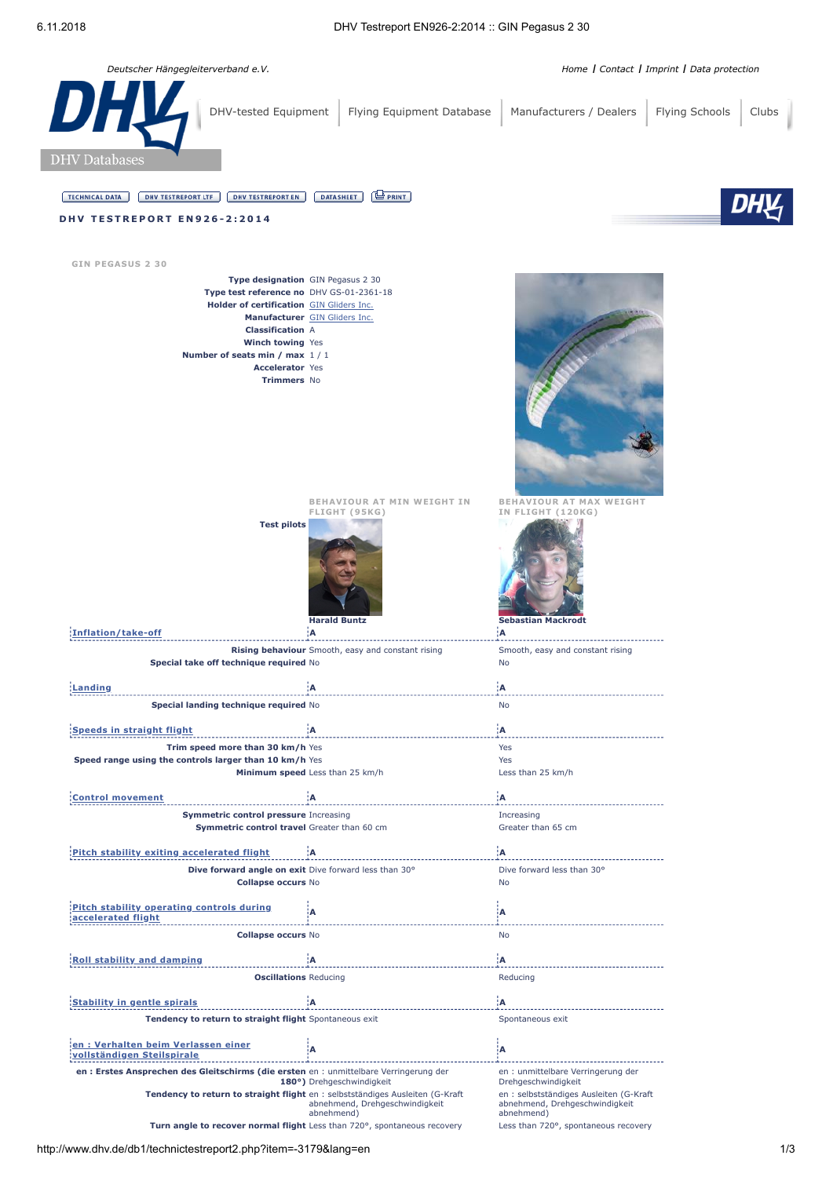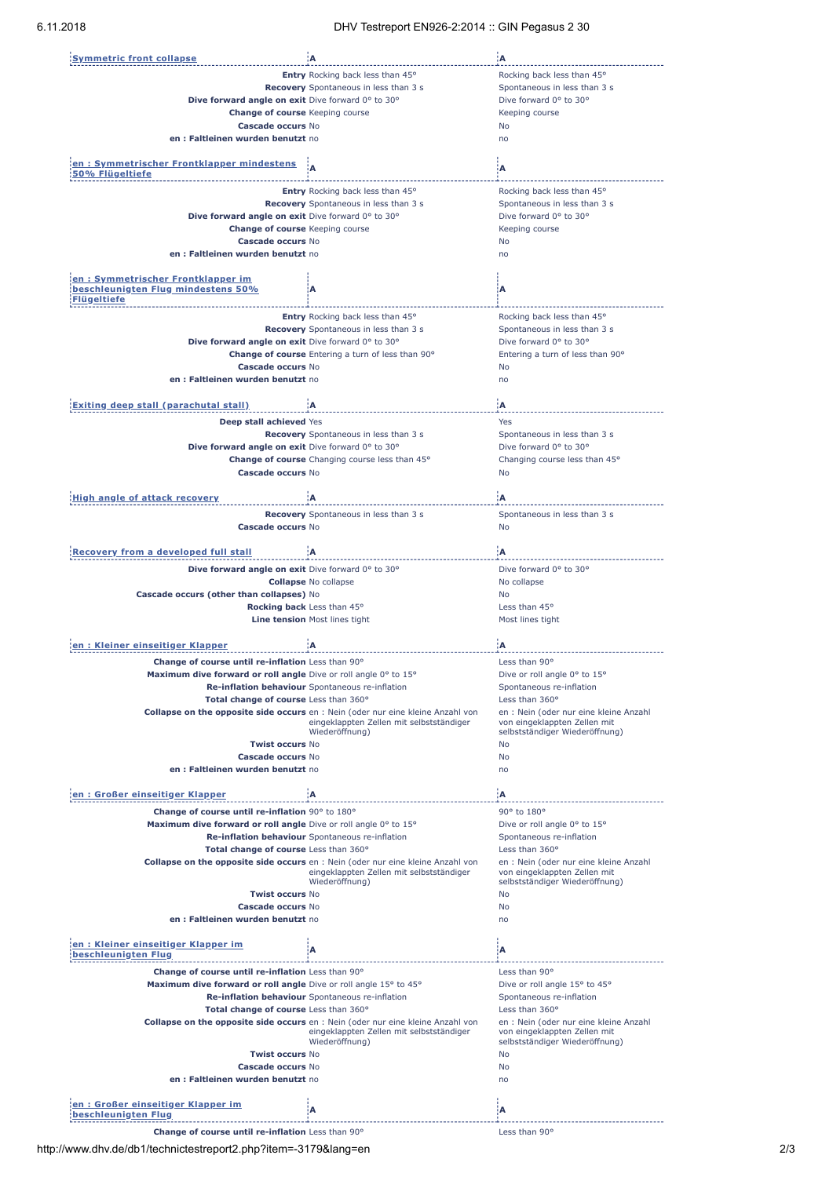| <b>Symmetric front collapse</b>                                  | ۱A                                                                                                                                 | :A                                                                     |
|------------------------------------------------------------------|------------------------------------------------------------------------------------------------------------------------------------|------------------------------------------------------------------------|
|                                                                  | Entry Rocking back less than 45°                                                                                                   | Rocking back less than 45°                                             |
|                                                                  | Recovery Spontaneous in less than 3 s                                                                                              | Spontaneous in less than 3 s                                           |
| Dive forward angle on exit Dive forward 0° to 30°                |                                                                                                                                    | Dive forward 0° to 30°                                                 |
| <b>Change of course Keeping course</b>                           |                                                                                                                                    | Keeping course                                                         |
| Cascade occurs No                                                |                                                                                                                                    | No                                                                     |
| en: Faltleinen wurden benutzt no                                 |                                                                                                                                    |                                                                        |
|                                                                  |                                                                                                                                    | no                                                                     |
|                                                                  |                                                                                                                                    |                                                                        |
| <u>en : Symmetrischer Frontklapper mindestens</u>                | Α                                                                                                                                  | Α                                                                      |
| 50% Flügeltiefe                                                  |                                                                                                                                    |                                                                        |
|                                                                  | Entry Rocking back less than 45°                                                                                                   | Rocking back less than 45°                                             |
|                                                                  | Recovery Spontaneous in less than 3 s                                                                                              | Spontaneous in less than 3 s                                           |
| Dive forward angle on exit Dive forward 0° to 30°                |                                                                                                                                    | Dive forward 0° to 30°                                                 |
| <b>Change of course Keeping course</b>                           |                                                                                                                                    | Keeping course                                                         |
| Cascade occurs No                                                |                                                                                                                                    | No                                                                     |
| en: Faltleinen wurden benutzt no                                 |                                                                                                                                    | no                                                                     |
|                                                                  |                                                                                                                                    |                                                                        |
| en: Symmetrischer Frontklapper im                                |                                                                                                                                    |                                                                        |
| beschleunigten Flug mindestens 50%                               | A                                                                                                                                  | А                                                                      |
| <b>Flügeltiefe</b>                                               |                                                                                                                                    |                                                                        |
|                                                                  |                                                                                                                                    |                                                                        |
|                                                                  | Entry Rocking back less than 45°                                                                                                   | Rocking back less than 45°                                             |
|                                                                  | Recovery Spontaneous in less than 3 s                                                                                              | Spontaneous in less than 3 s                                           |
| Dive forward angle on exit Dive forward 0° to 30°                |                                                                                                                                    | Dive forward 0° to 30°                                                 |
|                                                                  | Change of course Entering a turn of less than 90°                                                                                  | Entering a turn of less than 90°                                       |
| Cascade occurs No                                                |                                                                                                                                    | No                                                                     |
| en: Faltleinen wurden benutzt no                                 |                                                                                                                                    | no                                                                     |
|                                                                  |                                                                                                                                    |                                                                        |
| <b>Exiting deep stall (parachutal stall)</b>                     | A                                                                                                                                  | Α                                                                      |
| Deep stall achieved Yes                                          |                                                                                                                                    | Yes                                                                    |
|                                                                  | Recovery Spontaneous in less than 3 s                                                                                              | Spontaneous in less than 3 s                                           |
| Dive forward angle on exit Dive forward 0° to 30°                |                                                                                                                                    | Dive forward 0° to 30°                                                 |
|                                                                  | Change of course Changing course less than 45°                                                                                     | Changing course less than 45°                                          |
|                                                                  |                                                                                                                                    |                                                                        |
| Cascade occurs No                                                |                                                                                                                                    | No                                                                     |
|                                                                  |                                                                                                                                    |                                                                        |
| <b>High angle of attack recovery</b>                             | A                                                                                                                                  | :A                                                                     |
|                                                                  | <b>Recovery</b> Spontaneous in less than 3 s                                                                                       | Spontaneous in less than 3 s                                           |
| Cascade occurs No                                                |                                                                                                                                    | <b>No</b>                                                              |
|                                                                  |                                                                                                                                    |                                                                        |
| Recovery from a developed full stall                             | ١A.                                                                                                                                | ١A.                                                                    |
|                                                                  |                                                                                                                                    |                                                                        |
| Dive forward angle on exit Dive forward 0° to 30°                |                                                                                                                                    | Dive forward 0° to 30°                                                 |
|                                                                  |                                                                                                                                    |                                                                        |
|                                                                  | <b>Collapse</b> No collapse                                                                                                        | No collapse                                                            |
| Cascade occurs (other than collapses) No                         |                                                                                                                                    | No                                                                     |
|                                                                  | Rocking back Less than 45°                                                                                                         | Less than 45°                                                          |
|                                                                  | Line tension Most lines tight                                                                                                      | Most lines tight                                                       |
|                                                                  |                                                                                                                                    |                                                                        |
| en : Kleiner einseitiger Klapper                                 | Α                                                                                                                                  | ίA                                                                     |
|                                                                  |                                                                                                                                    |                                                                        |
| Change of course until re-inflation Less than 90°                |                                                                                                                                    | Less than 90°                                                          |
| Maximum dive forward or roll angle Dive or roll angle 0° to 15°  |                                                                                                                                    | Dive or roll angle 0° to 15°                                           |
|                                                                  | Re-inflation behaviour Spontaneous re-inflation                                                                                    | Spontaneous re-inflation                                               |
| Total change of course Less than 360°                            |                                                                                                                                    | Less than 360°                                                         |
|                                                                  | <b>Collapse on the opposite side occurs</b> en : Nein (oder nur eine kleine Anzahl von                                             | en : Nein (oder nur eine kleine Anzahl                                 |
|                                                                  | eingeklappten Zellen mit selbstständiger<br>Wiederöffnung)                                                                         | von eingeklappten Zellen mit<br>selbstständiger Wiederöffnung)         |
| <b>Twist occurs No</b>                                           |                                                                                                                                    | No                                                                     |
| Cascade occurs No                                                |                                                                                                                                    | No                                                                     |
| en: Faltleinen wurden benutzt no                                 |                                                                                                                                    | no                                                                     |
|                                                                  |                                                                                                                                    |                                                                        |
|                                                                  | :A                                                                                                                                 | łА.                                                                    |
| en: Großer einseitiger Klapper                                   |                                                                                                                                    |                                                                        |
| Change of course until re-inflation 90° to 180°                  |                                                                                                                                    | 90° to 180°                                                            |
| Maximum dive forward or roll angle Dive or roll angle 0° to 15°  |                                                                                                                                    | Dive or roll angle 0° to 15°                                           |
|                                                                  | Re-inflation behaviour Spontaneous re-inflation                                                                                    | Spontaneous re-inflation                                               |
| Total change of course Less than 360°                            |                                                                                                                                    | Less than 360°                                                         |
|                                                                  | <b>Collapse on the opposite side occurs</b> en : Nein (oder nur eine kleine Anzahl von                                             | en : Nein (oder nur eine kleine Anzahl                                 |
|                                                                  | eingeklappten Zellen mit selbstständiger                                                                                           | von eingeklappten Zellen mit                                           |
|                                                                  | Wiederöffnung)                                                                                                                     | selbstständiger Wiederöffnung)                                         |
| <b>Twist occurs No</b>                                           |                                                                                                                                    | No                                                                     |
| Cascade occurs No                                                |                                                                                                                                    | No                                                                     |
| en: Faltleinen wurden benutzt no                                 |                                                                                                                                    | no                                                                     |
|                                                                  |                                                                                                                                    |                                                                        |
| en: Kleiner einseitiger Klapper im                               | Α                                                                                                                                  | ïΑ                                                                     |
| beschleunigten Flug                                              |                                                                                                                                    |                                                                        |
| Change of course until re-inflation Less than 90°                |                                                                                                                                    | Less than 90°                                                          |
| Maximum dive forward or roll angle Dive or roll angle 15° to 45° |                                                                                                                                    | Dive or roll angle 15° to 45°                                          |
|                                                                  | Re-inflation behaviour Spontaneous re-inflation                                                                                    | Spontaneous re-inflation                                               |
| Total change of course Less than 360°                            |                                                                                                                                    | Less than 360°                                                         |
|                                                                  |                                                                                                                                    |                                                                        |
|                                                                  | <b>Collapse on the opposite side occurs</b> en : Nein (oder nur eine kleine Anzahl von<br>eingeklappten Zellen mit selbstständiger | en : Nein (oder nur eine kleine Anzahl<br>von eingeklappten Zellen mit |
|                                                                  | Wiederöffnung)                                                                                                                     | selbstständiger Wiederöffnung)                                         |
| <b>Twist occurs No</b>                                           |                                                                                                                                    | No                                                                     |
| Cascade occurs No                                                |                                                                                                                                    | No                                                                     |
| en: Faltleinen wurden benutzt no                                 |                                                                                                                                    | no                                                                     |
|                                                                  |                                                                                                                                    |                                                                        |
| en: Großer einseitiger Klapper im                                | Α                                                                                                                                  | А                                                                      |

**Change of course until re-inflation** Less than 90° **Less than 190°** Less than 90°

http://www.dhv.de/db1/technictestreport2.php?item=-3179&lang=en 2/3